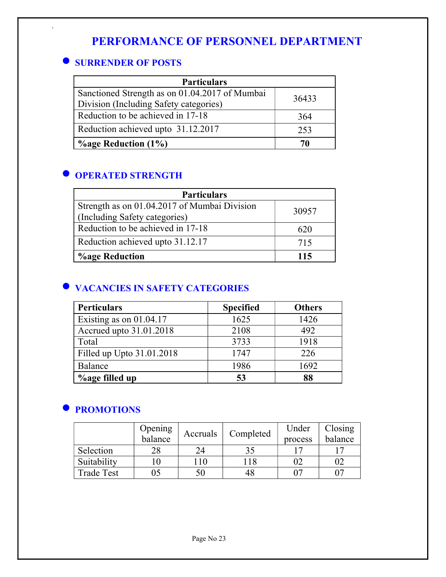# PERFORMANCE OF PERSONNEL DEPARTMENT

## **SURRENDER OF POSTS**

`

| <b>Particulars</b>                             |       |  |  |
|------------------------------------------------|-------|--|--|
| Sanctioned Strength as on 01.04.2017 of Mumbai | 36433 |  |  |
| Division (Including Safety categories)         |       |  |  |
| Reduction to be achieved in 17-18              | 364   |  |  |
| Reduction achieved upto 31.12.2017             | 253   |  |  |
| $\%$ age Reduction (1%)                        | 70    |  |  |

## **O OPERATED STRENGTH**

| <b>Particulars</b>                           |       |  |  |
|----------------------------------------------|-------|--|--|
| Strength as on 01.04.2017 of Mumbai Division | 30957 |  |  |
| (Including Safety categories)                |       |  |  |
| Reduction to be achieved in 17-18            | 620   |  |  |
| Reduction achieved upto 31.12.17             | 715   |  |  |
| <b>%age Reduction</b>                        | 115   |  |  |

## $\bullet$  **VACANCIES IN SAFETY CATEGORIES**

| <b>Perticulars</b>        | <b>Specified</b> | <b>Others</b> |
|---------------------------|------------------|---------------|
| Existing as on 01.04.17   | 1625             | 1426          |
| Accrued upto 31.01.2018   | 2108             | 492           |
| Total                     | 3733             | 1918          |
| Filled up Upto 31.01.2018 | 1747             | 226           |
| Balance                   | 1986             | 1692          |
| <b>%age filled up</b>     | 53               | 88            |

## **• PROMOTIONS**

|                   | Opening |     | Completed<br>Accruals | Under   | Closing |
|-------------------|---------|-----|-----------------------|---------|---------|
|                   | balance |     |                       | process | balance |
| Selection         |         |     |                       |         |         |
| Suitability       |         | 110 | 18                    |         |         |
| <b>Trade Test</b> |         | 50  | 48                    |         |         |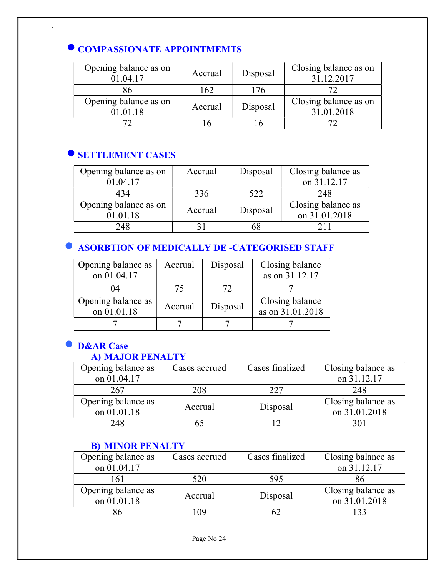## **COMPASSIONATE APPOINTMEMTS**

| Opening balance as on<br>01.04.17 | Accrual | Disposal | Closing balance as on<br>31.12.2017 |
|-----------------------------------|---------|----------|-------------------------------------|
|                                   | 162     | 176      |                                     |
| Opening balance as on<br>01.01.18 | Accrual | Disposal | Closing balance as on<br>31.01.2018 |
|                                   |         |          |                                     |

## **O SETTLEMENT CASES**

`

| Opening balance as on | Accrual | Disposal | Closing balance as |
|-----------------------|---------|----------|--------------------|
| 01.04.17              |         |          | on 31.12.17        |
| 434                   | 336     | 522      | 248                |
| Opening balance as on | Accrual |          | Closing balance as |
| 01.01.18              |         | Disposal | on 31.01.2018      |
| 248                   |         | אר       |                    |

## **• ASORBTION OF MEDICALLY DE -CATEGORISED STAFF**

| Opening balance as                | Accrual | Disposal | Closing balance                     |
|-----------------------------------|---------|----------|-------------------------------------|
| on 01.04.17                       |         |          | as on 31.12.17                      |
| 04                                | 75      | 72       |                                     |
| Opening balance as<br>on 01.01.18 | Accrual | Disposal | Closing balance<br>as on 31.01.2018 |
|                                   |         |          |                                     |

# **O** D&AR Case

## A) MAJOR PENALTY

| Opening balance as | Cases accrued | Cases finalized | Closing balance as |
|--------------------|---------------|-----------------|--------------------|
| on 01.04.17        |               |                 | on 31.12.17        |
| 267                | 208           | 227             | 248                |
| Opening balance as | Accrual       |                 | Closing balance as |
| on 01.01.18        |               | Disposal        | on 31.01.2018      |
| 248                |               |                 | 301                |

### B) MINOR PENALTY

| Opening balance as | Cases accrued | Cases finalized | Closing balance as |
|--------------------|---------------|-----------------|--------------------|
| on 01.04.17        |               |                 | on 31.12.17        |
| 161                | 520           | 595             |                    |
| Opening balance as | Accrual       |                 | Closing balance as |
| on 01.01.18        |               | Disposal        | on 31.01.2018      |
|                    | 09            |                 |                    |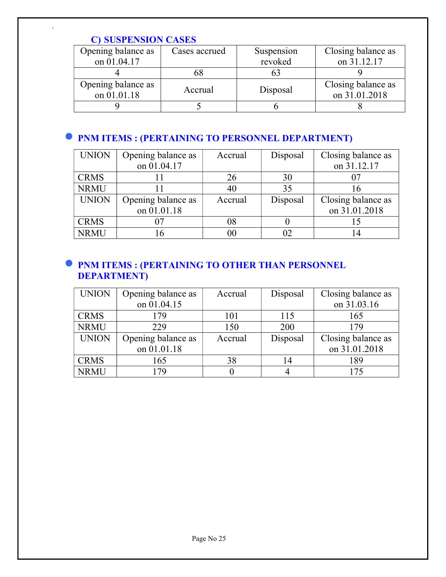### C) SUSPENSION CASES

`

| Opening balance as | Cases accrued | Suspension | Closing balance as |
|--------------------|---------------|------------|--------------------|
| on 01.04.17        |               | revoked    | on 31.12.17        |
|                    | OΟ            |            |                    |
| Opening balance as | Accrual       |            | Closing balance as |
| on 01.01.18        |               | Disposal   | on 31.01.2018      |
|                    |               |            |                    |

# **• PNM ITEMS : (PERTAINING TO PERSONNEL DEPARTMENT)**

| <b>UNION</b> | Opening balance as | Accrual | Disposal | Closing balance as |
|--------------|--------------------|---------|----------|--------------------|
|              | on 01.04.17        |         |          | on 31.12.17        |
| <b>CRMS</b>  |                    | 26      | 30       |                    |
| <b>NRMU</b>  |                    | 40      | 35       | 16                 |
| <b>UNION</b> | Opening balance as | Accrual | Disposal | Closing balance as |
|              | on 01.01.18        |         |          | on 31.01.2018      |
| <b>CRMS</b>  |                    | 08      |          |                    |
| <b>NRMU</b>  |                    | 00      |          |                    |

## **• PNM ITEMS : (PERTAINING TO OTHER THAN PERSONNEL** DEPARTMENT)

| <b>UNION</b> | Opening balance as | Accrual | Disposal | Closing balance as |
|--------------|--------------------|---------|----------|--------------------|
|              | on 01.04.15        |         |          | on 31.03.16        |
| <b>CRMS</b>  | 179                | 101     | 115      | 165                |
| <b>NRMU</b>  | 229                | 150     | 200      | 179                |
| <b>UNION</b> | Opening balance as | Accrual | Disposal | Closing balance as |
|              | on 01.01.18        |         |          | on 31.01.2018      |
| <b>CRMS</b>  | 165                | 38      | 14       | 189                |
| <b>NRMU</b>  | 179                |         |          | 175                |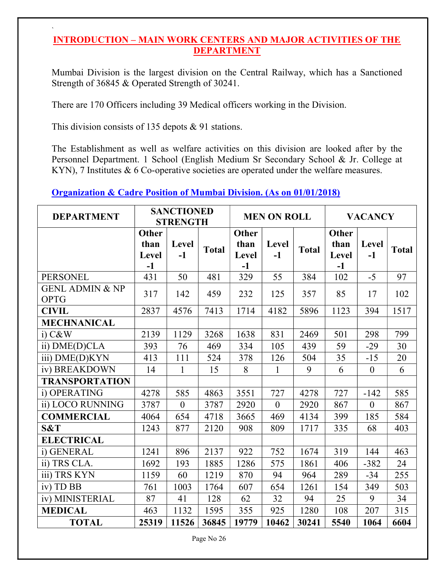### INTRODUCTION – MAIN WORK CENTERS AND MAJOR ACTIVITIES OF THE DEPARTMENT

Mumbai Division is the largest division on the Central Railway, which has a Sanctioned Strength of 36845 & Operated Strength of 30241.

There are 170 Officers including 39 Medical officers working in the Division.

This division consists of 135 depots & 91 stations.

`

The Establishment as well as welfare activities on this division are looked after by the Personnel Department. 1 School (English Medium Sr Secondary School & Jr. College at KYN), 7 Institutes & 6 Co-operative societies are operated under the welfare measures.

### Organization & Cadre Position of Mumbai Division. (As on 01/01/2018)

| <b>DEPARTMENT</b>                         |                                       | <b>SANCTIONED</b><br><b>MEN ON ROLL</b><br><b>STRENGTH</b> |              |                                       | <b>VACANCY</b>   |              |                                       |                  |              |
|-------------------------------------------|---------------------------------------|------------------------------------------------------------|--------------|---------------------------------------|------------------|--------------|---------------------------------------|------------------|--------------|
|                                           | <b>Other</b><br>than<br>Level<br>$-1$ | <b>Level</b><br>$-1$                                       | <b>Total</b> | <b>Other</b><br>than<br>Level<br>$-1$ | Level<br>$-1$    | <b>Total</b> | <b>Other</b><br>than<br>Level<br>$-1$ | Level<br>$-1$    | <b>Total</b> |
| <b>PERSONEL</b>                           | 431                                   | 50                                                         | 481          | 329                                   | 55               | 384          | 102                                   | $-5$             | 97           |
| <b>GENL ADMIN &amp; NP</b><br><b>OPTG</b> | 317                                   | 142                                                        | 459          | 232                                   | 125              | 357          | 85                                    | 17               | 102          |
| <b>CIVIL</b>                              | 2837                                  | 4576                                                       | 7413         | 1714                                  | 4182             | 5896         | 1123                                  | 394              | 1517         |
| <b>MECHNANICAL</b>                        |                                       |                                                            |              |                                       |                  |              |                                       |                  |              |
| $i)$ $C&W$                                | 2139                                  | 1129                                                       | 3268         | 1638                                  | 831              | 2469         | 501                                   | 298              | 799          |
| ii) DME(D)CLA                             | 393                                   | 76                                                         | 469          | 334                                   | 105              | 439          | 59                                    | $-29$            | 30           |
| iii) DME(D)KYN                            | 413                                   | 111                                                        | 524          | 378                                   | 126              | 504          | 35                                    | $-15$            | 20           |
| iv) BREAKDOWN                             | 14                                    | $\mathbf{1}$                                               | 15           | 8                                     | $\mathbf{1}$     | 9            | 6                                     | $\boldsymbol{0}$ | 6            |
| <b>TRANSPORTATION</b>                     |                                       |                                                            |              |                                       |                  |              |                                       |                  |              |
| i) OPERATING                              | 4278                                  | 585                                                        | 4863         | 3551                                  | 727              | 4278         | 727                                   | $-142$           | 585          |
| ii) LOCO RUNNING                          | 3787                                  | $\theta$                                                   | 3787         | 2920                                  | $\boldsymbol{0}$ | 2920         | 867                                   | $\boldsymbol{0}$ | 867          |
| <b>COMMERCIAL</b>                         | 4064                                  | 654                                                        | 4718         | 3665                                  | 469              | 4134         | 399                                   | 185              | 584          |
| S&T                                       | 1243                                  | 877                                                        | 2120         | 908                                   | 809              | 1717         | 335                                   | 68               | 403          |
| <b>ELECTRICAL</b>                         |                                       |                                                            |              |                                       |                  |              |                                       |                  |              |
| i) GENERAL                                | 1241                                  | 896                                                        | 2137         | 922                                   | 752              | 1674         | 319                                   | 144              | 463          |
| ii) TRS CLA.                              | 1692                                  | 193                                                        | 1885         | 1286                                  | 575              | 1861         | 406                                   | $-382$           | 24           |
| iii) TRS KYN                              | 1159                                  | 60                                                         | 1219         | 870                                   | 94               | 964          | 289                                   | $-34$            | 255          |
| iv) TD BB                                 | 761                                   | 1003                                                       | 1764         | 607                                   | 654              | 1261         | 154                                   | 349              | 503          |
| iv) MINISTERIAL                           | 87                                    | 41                                                         | 128          | 62                                    | 32               | 94           | 25                                    | 9                | 34           |
| <b>MEDICAL</b>                            | 463                                   | 1132                                                       | 1595         | 355                                   | 925              | 1280         | 108                                   | 207              | 315          |
| <b>TOTAL</b>                              | 25319                                 | 11526                                                      | 36845        | 19779                                 | 10462            | 30241        | 5540                                  | 1064             | 6604         |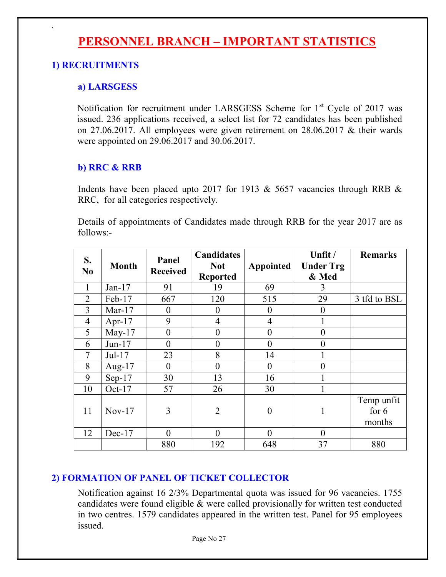# PERSONNEL BRANCH – IMPORTANT STATISTICS

### 1) RECRUITMENTS

`

#### a) LARSGESS

Notification for recruitment under LARSGESS Scheme for  $1<sup>st</sup>$  Cycle of 2017 was issued. 236 applications received, a select list for 72 candidates has been published on 27.06.2017. All employees were given retirement on 28.06.2017 & their wards were appointed on 29.06.2017 and 30.06.2017.

#### b) RRC & RRB

 Indents have been placed upto 2017 for 1913 & 5657 vacancies through RRB & RRC, for all categories respectively.

 Details of appointments of Candidates made through RRB for the year 2017 are as follows:-

| S.<br>N <sub>0</sub> | <b>Month</b> | Panel<br><b>Received</b> | <b>Candidates</b><br><b>Not</b><br><b>Reported</b> | <b>Appointed</b> | Unfit /<br><b>Under Trg</b><br>& Med | <b>Remarks</b>                  |
|----------------------|--------------|--------------------------|----------------------------------------------------|------------------|--------------------------------------|---------------------------------|
| 1                    | $Jan-17$     | 91                       | 19                                                 | 69               | 3                                    |                                 |
| $\overline{2}$       | Feb-17       | 667                      | 120                                                | 515              | 29                                   | 3 tfd to BSL                    |
| 3                    | Mar- $17$    | 0                        | $\boldsymbol{0}$                                   | $\boldsymbol{0}$ | $\boldsymbol{0}$                     |                                 |
| $\overline{4}$       | Apr- $17$    | 9                        | $\overline{4}$                                     | $\overline{4}$   |                                      |                                 |
| 5                    | May- $17$    | $\overline{0}$           | $\boldsymbol{0}$                                   | $\boldsymbol{0}$ | $\mathbf{0}$                         |                                 |
| 6                    | $Jun-17$     | $\overline{0}$           | $\boldsymbol{0}$                                   | $\overline{0}$   | $\overline{0}$                       |                                 |
| $\tau$               | $Jul-17$     | 23                       | 8                                                  | 14               |                                      |                                 |
| 8                    | Aug- $17$    | $\theta$                 | $\overline{0}$                                     | $\theta$         | $\theta$                             |                                 |
| 9                    | $Sep-17$     | 30                       | 13                                                 | 16               |                                      |                                 |
| 10                   | Oct- $17$    | 57                       | 26                                                 | 30               |                                      |                                 |
| 11                   | $Nov-17$     | 3                        | $\overline{2}$                                     | $\overline{0}$   |                                      | Temp unfit<br>for $6$<br>months |
| 12                   | $Dec-17$     | $\theta$                 | $\overline{0}$                                     | $\theta$         | $\theta$                             |                                 |
|                      |              | 880                      | 192                                                | 648              | 37                                   | 880                             |

### 2) FORMATION OF PANEL OF TICKET COLLECTOR

Notification against 16 2/3% Departmental quota was issued for 96 vacancies. 1755 candidates were found eligible & were called provisionally for written test conducted in two centres. 1579 candidates appeared in the written test. Panel for 95 employees issued.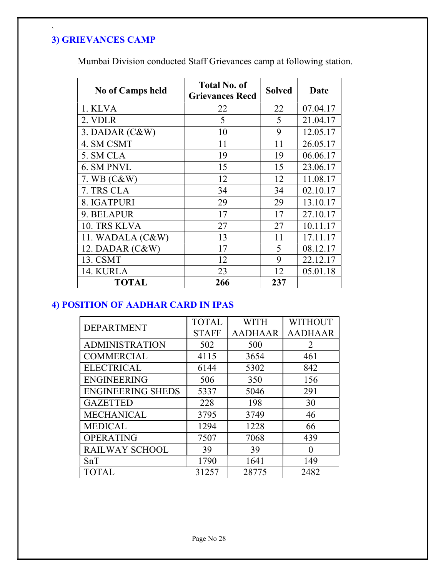## 3) GRIEVANCES CAMP

`

Mumbai Division conducted Staff Grievances camp at following station.

| <b>No of Camps held</b> | <b>Total No. of</b><br><b>Grievances Recd</b> | <b>Solved</b> | Date     |
|-------------------------|-----------------------------------------------|---------------|----------|
| 1. KLVA                 | 22                                            | 22            | 07.04.17 |
| 2. VDLR                 | 5                                             | 5             | 21.04.17 |
| $3.$ DADAR $(C&W)$      | 10                                            | 9             | 12.05.17 |
| 4. SM CSMT              | 11                                            | 11            | 26.05.17 |
| 5. SM CLA               | 19                                            | 19            | 06.06.17 |
| 6. SM PNVL              | 15                                            | 15            | 23.06.17 |
| 7. WB $(C&W)$           | 12                                            | 12            | 11.08.17 |
| 7. TRS CLA              | 34                                            | 34            | 02.10.17 |
| 8. IGATPURI             | 29                                            | 29            | 13.10.17 |
| 9. BELAPUR              | 17                                            | 17            | 27.10.17 |
| 10. TRS KLVA            | 27                                            | 27            | 10.11.17 |
| 11. WADALA $(C&W)$      | 13                                            | 11            | 17.11.17 |
| 12. DADAR $(C&W)$       | 17                                            | 5             | 08.12.17 |
| 13. CSMT                | 12                                            | 9             | 22.12.17 |
| 14. KURLA               | 23                                            | 12            | 05.01.18 |
| TOTAL                   | 266                                           | 237           |          |

## 4) POSITION OF AADHAR CARD IN IPAS

| <b>DEPARTMENT</b>        | <b>TOTAL</b> | <b>WITH</b>    | <b>WITHOUT</b> |
|--------------------------|--------------|----------------|----------------|
|                          | <b>STAFF</b> | <b>AADHAAR</b> | <b>AADHAAR</b> |
| <b>ADMINISTRATION</b>    | 502          | 500            | 2              |
| <b>COMMERCIAL</b>        | 4115         | 3654           | 461            |
| <b>ELECTRICAL</b>        | 6144         | 5302           | 842            |
| <b>ENGINEERING</b>       | 506          | 350            | 156            |
| <b>ENGINEERING SHEDS</b> | 5337         | 5046           | 291            |
| <b>GAZETTED</b>          | 228          | 198            | 30             |
| <b>MECHANICAL</b>        | 3795         | 3749           | 46             |
| <b>MEDICAL</b>           | 1294         | 1228           | 66             |
| <b>OPERATING</b>         | 7507         | 7068           | 439            |
| RAILWAY SCHOOL           | 39           | 39             | 0              |
| SnT                      | 1790         | 1641           | 149            |
| <b>TOTAL</b>             | 31257        | 28775          | 2482           |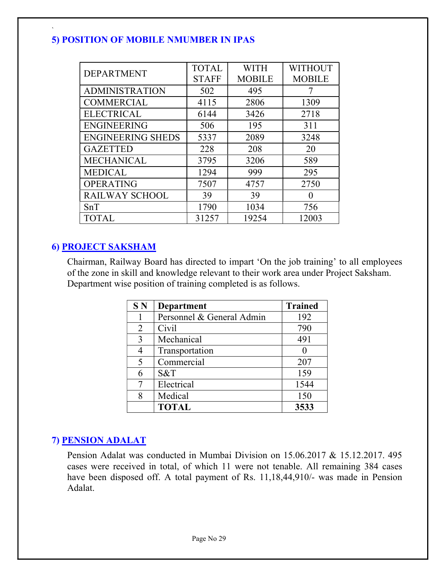## 5) POSITION OF MOBILE NMUMBER IN IPAS

| <b>DEPARTMENT</b>        | <b>TOTAL</b> | <b>WITH</b>   | <b>WITHOUT</b> |
|--------------------------|--------------|---------------|----------------|
|                          | <b>STAFF</b> | <b>MOBILE</b> | <b>MOBILE</b>  |
| <b>ADMINISTRATION</b>    | 502          | 495           |                |
| <b>COMMERCIAL</b>        | 4115         | 2806          | 1309           |
| <b>ELECTRICAL</b>        | 6144         | 3426          | 2718           |
| <b>ENGINEERING</b>       | 506          | 195           | 311            |
| <b>ENGINEERING SHEDS</b> | 5337         | 2089          | 3248           |
| <b>GAZETTED</b>          | 228          | 208           | 20             |
| <b>MECHANICAL</b>        | 3795         | 3206          | 589            |
| <b>MEDICAL</b>           | 1294         | 999           | 295            |
| <b>OPERATING</b>         | 7507         | 4757          | 2750           |
| <b>RAILWAY SCHOOL</b>    | 39           | 39            | 0              |
| SnT                      | 1790         | 1034          | 756            |
| <b>TOTAL</b>             | 31257        | 19254         | 12003          |

### 6) PROJECT SAKSHAM

`

Chairman, Railway Board has directed to impart 'On the job training' to all employees of the zone in skill and knowledge relevant to their work area under Project Saksham. Department wise position of training completed is as follows.

| S <sub>N</sub> | <b>Department</b>         | <b>Trained</b> |
|----------------|---------------------------|----------------|
|                | Personnel & General Admin | 192            |
| 2              | Civil                     | 790            |
| 3              | Mechanical                | 491            |
|                | Transportation            |                |
| 5              | Commercial                | 207            |
|                | S&T                       | 159            |
|                | Electrical                | 1544           |
| 8              | Medical                   | 150            |
|                | <b>TOTAL</b>              | 3533           |

## 7) PENSION ADALAT

Pension Adalat was conducted in Mumbai Division on 15.06.2017 & 15.12.2017. 495 cases were received in total, of which 11 were not tenable. All remaining 384 cases have been disposed off. A total payment of Rs. 11,18,44,910/- was made in Pension Adalat.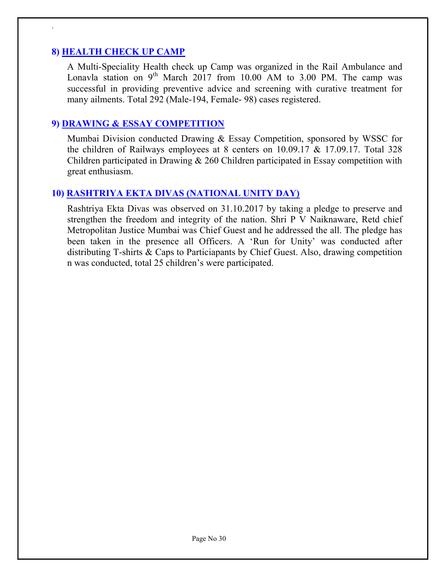### 8) HEALTH CHECK UP CAMP

`

 A Multi-Speciality Health check up Camp was organized in the Rail Ambulance and Lonavla station on  $9^{th}$  March 2017 from 10.00 AM to 3.00 PM. The camp was successful in providing preventive advice and screening with curative treatment for many ailments. Total 292 (Male-194, Female- 98) cases registered.

### 9) DRAWING & ESSAY COMPETITION

Mumbai Division conducted Drawing & Essay Competition, sponsored by WSSC for the children of Railways employees at 8 centers on 10.09.17 & 17.09.17. Total 328 Children participated in Drawing & 260 Children participated in Essay competition with great enthusiasm.

### 10) RASHTRIYA EKTA DIVAS (NATIONAL UNITY DAY)

Rashtriya Ekta Divas was observed on 31.10.2017 by taking a pledge to preserve and strengthen the freedom and integrity of the nation. Shri P V Naiknaware, Retd chief Metropolitan Justice Mumbai was Chief Guest and he addressed the all. The pledge has been taken in the presence all Officers. A 'Run for Unity' was conducted after distributing T-shirts & Caps to Particiapants by Chief Guest. Also, drawing competition n was conducted, total 25 children's were participated.